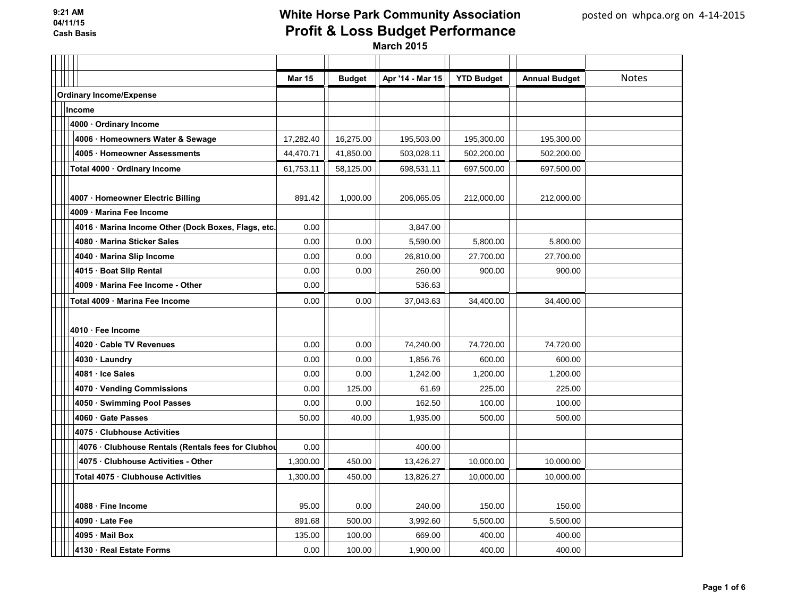|                                                     | <b>Mar 15</b> | <b>Budget</b> | Apr '14 - Mar 15 | <b>YTD Budget</b> | <b>Annual Budget</b> | <b>Notes</b> |
|-----------------------------------------------------|---------------|---------------|------------------|-------------------|----------------------|--------------|
| <b>Ordinary Income/Expense</b>                      |               |               |                  |                   |                      |              |
| Income                                              |               |               |                  |                   |                      |              |
| 4000 · Ordinary Income                              |               |               |                  |                   |                      |              |
| 4006 · Homeowners Water & Sewage                    | 17,282.40     | 16,275.00     | 195,503.00       | 195,300.00        | 195,300.00           |              |
| 4005 Homeowner Assessments                          | 44,470.71     | 41,850.00     | 503,028.11       | 502,200.00        | 502,200.00           |              |
| Total 4000 · Ordinary Income                        | 61,753.11     | 58,125.00     | 698,531.11       | 697,500.00        | 697,500.00           |              |
|                                                     |               |               |                  |                   |                      |              |
| 4007 · Homeowner Electric Billing                   | 891.42        | 1,000.00      | 206,065.05       | 212,000.00        | 212,000.00           |              |
| 4009 Marina Fee Income                              |               |               |                  |                   |                      |              |
| 4016 · Marina Income Other (Dock Boxes, Flags, etc. | 0.00          |               | 3,847.00         |                   |                      |              |
| 4080 Marina Sticker Sales                           | 0.00          | 0.00          | 5,590.00         | 5,800.00          | 5,800.00             |              |
| 4040 Marina Slip Income                             | 0.00          | 0.00          | 26,810.00        | 27,700.00         | 27,700.00            |              |
| 4015 Boat Slip Rental                               | 0.00          | 0.00          | 260.00           | 900.00            | 900.00               |              |
| 4009 Marina Fee Income - Other                      | 0.00          |               | 536.63           |                   |                      |              |
| Total 4009 · Marina Fee Income                      | 0.00          | 0.00          | 37,043.63        | 34,400.00         | 34,400.00            |              |
|                                                     |               |               |                  |                   |                      |              |
| 4010 · Fee Income                                   |               |               |                  |                   |                      |              |
| 4020 Cable TV Revenues                              | 0.00          | 0.00          | 74,240.00        | 74,720.00         | 74,720.00            |              |
| 4030 · Laundry                                      | 0.00          | 0.00          | 1,856.76         | 600.00            | 600.00               |              |
| 4081 · Ice Sales                                    | 0.00          | 0.00          | 1,242.00         | 1,200.00          | 1,200.00             |              |
| 4070 · Vending Commissions                          | 0.00          | 125.00        | 61.69            | 225.00            | 225.00               |              |
| 4050 · Swimming Pool Passes                         | 0.00          | 0.00          | 162.50           | 100.00            | 100.00               |              |
| 4060 Gate Passes                                    | 50.00         | 40.00         | 1,935.00         | 500.00            | 500.00               |              |
| 4075 Clubhouse Activities                           |               |               |                  |                   |                      |              |
| 4076 Clubhouse Rentals (Rentals fees for Clubhou    | 0.00          |               | 400.00           |                   |                      |              |
| 4075 Clubhouse Activities - Other                   | 1,300.00      | 450.00        | 13,426.27        | 10,000.00         | 10,000.00            |              |
| Total 4075 · Clubhouse Activities                   | 1,300.00      | 450.00        | 13,826.27        | 10,000.00         | 10,000.00            |              |
|                                                     |               |               |                  |                   |                      |              |
| 4088 Fine Income                                    | 95.00         | 0.00          | 240.00           | 150.00            | 150.00               |              |
| 4090 Late Fee                                       | 891.68        | 500.00        | 3,992.60         | 5,500.00          | 5,500.00             |              |
| 4095 Mail Box                                       | 135.00        | 100.00        | 669.00           | 400.00            | 400.00               |              |
| 4130 · Real Estate Forms                            | 0.00          | 100.00        | 1,900.00         | 400.00            | 400.00               |              |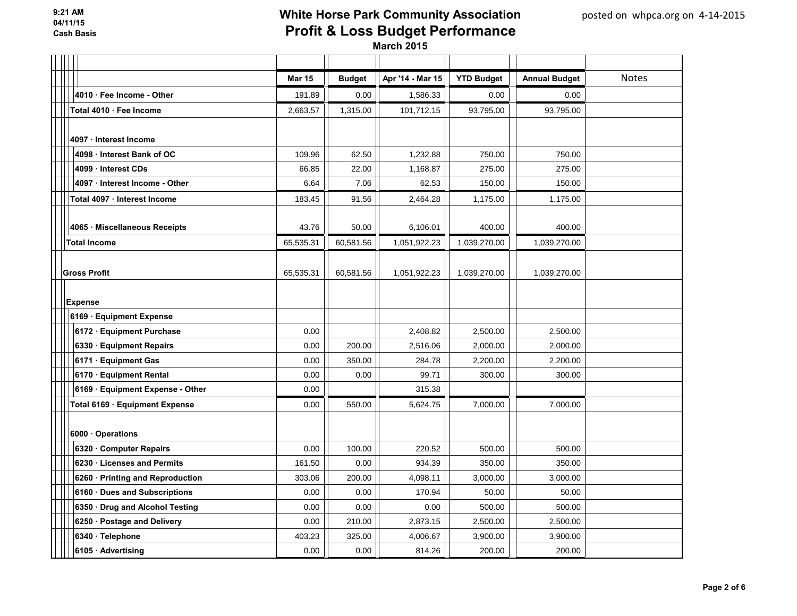|                                  | <b>Mar 15</b> | <b>Budget</b> | Apr '14 - Mar 15 | <b>YTD Budget</b> | <b>Annual Budget</b> | <b>Notes</b> |
|----------------------------------|---------------|---------------|------------------|-------------------|----------------------|--------------|
| 4010 · Fee Income - Other        | 191.89        | 0.00          | 1,586.33         | 0.00              | 0.00                 |              |
| Total 4010 · Fee Income          | 2,663.57      | 1,315.00      | 101,712.15       | 93,795.00         | 93,795.00            |              |
|                                  |               |               |                  |                   |                      |              |
| 4097 · Interest Income           |               |               |                  |                   |                      |              |
| 4098 Interest Bank of OC         | 109.96        | 62.50         | 1,232.88         | 750.00            | 750.00               |              |
| 4099 Interest CDs                | 66.85         | 22.00         | 1,168.87         | 275.00            | 275.00               |              |
| 4097 Interest Income - Other     | 6.64          | 7.06          | 62.53            | 150.00            | 150.00               |              |
| Total 4097 · Interest Income     | 183.45        | 91.56         | 2,464.28         | 1,175.00          | 1,175.00             |              |
|                                  |               |               |                  |                   |                      |              |
| 4065 · Miscellaneous Receipts    | 43.76         | 50.00         | 6,106.01         | 400.00            | 400.00               |              |
| <b>Total Income</b>              | 65,535.31     | 60,581.56     | 1,051,922.23     | 1,039,270.00      | 1,039,270.00         |              |
|                                  |               |               |                  |                   |                      |              |
| <b>Gross Profit</b>              | 65,535.31     | 60,581.56     | 1,051,922.23     | 1,039,270.00      | 1,039,270.00         |              |
|                                  |               |               |                  |                   |                      |              |
| <b>Expense</b>                   |               |               |                  |                   |                      |              |
| 6169 · Equipment Expense         |               |               |                  |                   |                      |              |
| 6172 · Equipment Purchase        | 0.00          |               | 2,408.82         | 2,500.00          | 2,500.00             |              |
| 6330 · Equipment Repairs         | 0.00          | 200.00        | 2,516.06         | 2,000.00          | 2,000.00             |              |
| 6171 · Equipment Gas             | 0.00          | 350.00        | 284.78           | 2,200.00          | 2,200.00             |              |
| 6170 · Equipment Rental          | 0.00          | 0.00          | 99.71            | 300.00            | 300.00               |              |
| 6169 · Equipment Expense - Other | 0.00          |               | 315.38           |                   |                      |              |
| Total 6169 Equipment Expense     | 0.00          | 550.00        | 5,624.75         | 7,000.00          | 7,000.00             |              |
|                                  |               |               |                  |                   |                      |              |
| 6000 · Operations                |               |               |                  |                   |                      |              |
| 6320 Computer Repairs            | 0.00          | 100.00        | 220.52           | 500.00            | 500.00               |              |
| 6230 Licenses and Permits        | 161.50        | 0.00          | 934.39           | 350.00            | 350.00               |              |
| 6260 · Printing and Reproduction | 303.06        | 200.00        | 4,098.11         | 3,000.00          | 3,000.00             |              |
| 6160 · Dues and Subscriptions    | 0.00          | 0.00          | 170.94           | 50.00             | 50.00                |              |
| 6350 Drug and Alcohol Testing    | 0.00          | 0.00          | 0.00             | 500.00            | 500.00               |              |
| 6250 · Postage and Delivery      | 0.00          | 210.00        | 2,873.15         | 2,500.00          | 2,500.00             |              |
| 6340 · Telephone                 | 403.23        | 325.00        | 4,006.67         | 3,900.00          | 3,900.00             |              |
| 6105 Advertising                 | 0.00          | 0.00          | 814.26           | 200.00            | 200.00               |              |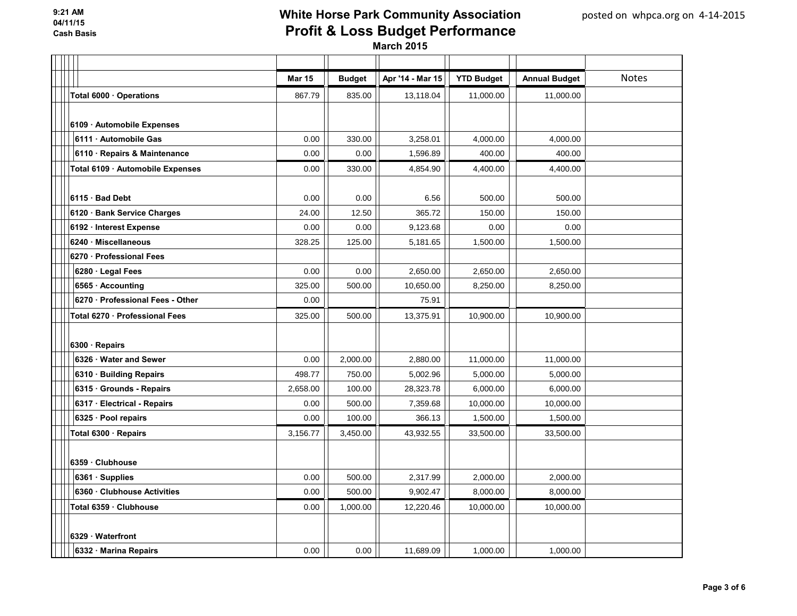|                                  | <b>Mar 15</b> | <b>Budget</b> | Apr '14 - Mar 15 | <b>YTD Budget</b> | <b>Annual Budget</b> | <b>Notes</b> |
|----------------------------------|---------------|---------------|------------------|-------------------|----------------------|--------------|
| Total 6000 · Operations          | 867.79        | 835.00        | 13,118.04        | 11,000.00         | 11,000.00            |              |
|                                  |               |               |                  |                   |                      |              |
| 6109 · Automobile Expenses       |               |               |                  |                   |                      |              |
| 6111 · Automobile Gas            | 0.00          | 330.00        | 3,258.01         | 4,000.00          | 4,000.00             |              |
| 6110 · Repairs & Maintenance     | 0.00          | 0.00          | 1,596.89         | 400.00            | 400.00               |              |
| Total 6109 · Automobile Expenses | 0.00          | 330.00        | 4,854.90         | 4,400.00          | 4,400.00             |              |
|                                  |               |               |                  |                   |                      |              |
| 6115 · Bad Debt                  | 0.00          | 0.00          | 6.56             | 500.00            | 500.00               |              |
| 6120 · Bank Service Charges      | 24.00         | 12.50         | 365.72           | 150.00            | 150.00               |              |
| 6192 · Interest Expense          | 0.00          | 0.00          | 9,123.68         | 0.00              | 0.00                 |              |
| 6240 · Miscellaneous             | 328.25        | 125.00        | 5,181.65         | 1,500.00          | 1,500.00             |              |
| 6270 · Professional Fees         |               |               |                  |                   |                      |              |
| 6280 · Legal Fees                | 0.00          | 0.00          | 2,650.00         | 2,650.00          | 2,650.00             |              |
| 6565 · Accounting                | 325.00        | 500.00        | 10,650.00        | 8,250.00          | 8,250.00             |              |
| 6270 · Professional Fees - Other | 0.00          |               | 75.91            |                   |                      |              |
| Total 6270 · Professional Fees   | 325.00        | 500.00        | 13,375.91        | 10,900.00         | 10,900.00            |              |
|                                  |               |               |                  |                   |                      |              |
| 6300 · Repairs                   |               |               |                  |                   |                      |              |
| 6326 Water and Sewer             | 0.00          | 2,000.00      | 2,880.00         | 11,000.00         | 11,000.00            |              |
| 6310 · Building Repairs          | 498.77        | 750.00        | 5,002.96         | 5,000.00          | 5,000.00             |              |
| 6315 Grounds - Repairs           | 2,658.00      | 100.00        | 28,323.78        | 6,000.00          | 6,000.00             |              |
| 6317 · Electrical - Repairs      | 0.00          | 500.00        | 7,359.68         | 10,000.00         | 10,000.00            |              |
| 6325 · Pool repairs              | 0.00          | 100.00        | 366.13           | 1,500.00          | 1,500.00             |              |
| Total 6300 · Repairs             | 3,156.77      | 3,450.00      | 43,932.55        | 33,500.00         | 33,500.00            |              |
|                                  |               |               |                  |                   |                      |              |
| 6359 · Clubhouse                 |               |               |                  |                   |                      |              |
| 6361 · Supplies                  | 0.00          | 500.00        | 2,317.99         | 2,000.00          | 2,000.00             |              |
| 6360 Clubhouse Activities        | 0.00          | 500.00        | 9,902.47         | 8,000.00          | 8,000.00             |              |
| Total 6359 · Clubhouse           | 0.00          | 1,000.00      | 12,220.46        | 10,000.00         | 10,000.00            |              |
|                                  |               |               |                  |                   |                      |              |
| 6329 · Waterfront                |               |               |                  |                   |                      |              |
| 6332 · Marina Repairs            | 0.00          | 0.00          | 11,689.09        | 1,000.00          | 1,000.00             |              |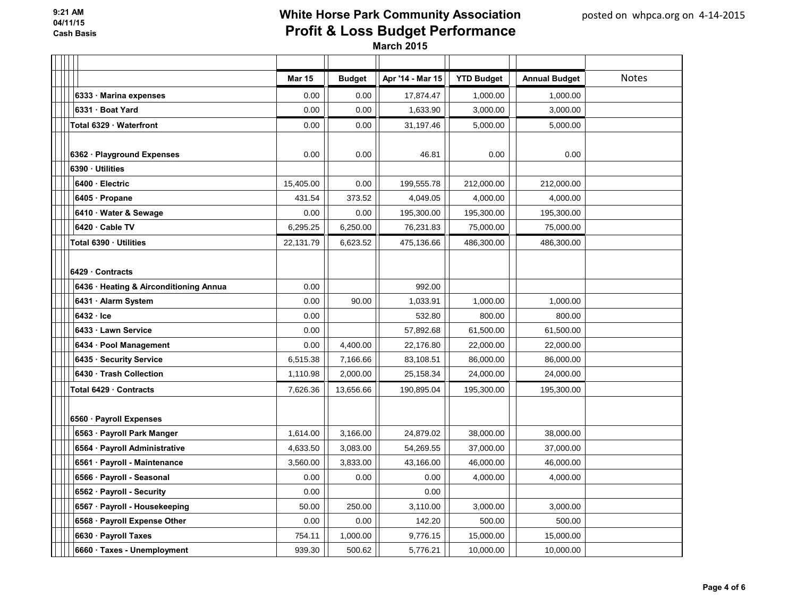|                                        | <b>Mar 15</b> | <b>Budget</b> | Apr '14 - Mar 15 | <b>YTD Budget</b> | <b>Annual Budget</b> | <b>Notes</b> |
|----------------------------------------|---------------|---------------|------------------|-------------------|----------------------|--------------|
| 6333 · Marina expenses                 | 0.00          | 0.00          | 17,874.47        | 1,000.00          | 1,000.00             |              |
| 6331 Boat Yard                         | 0.00          | 0.00          | 1,633.90         | 3,000.00          | 3,000.00             |              |
| Total 6329 Waterfront                  | 0.00          | 0.00          | 31,197.46        | 5,000.00          | 5,000.00             |              |
|                                        |               |               |                  |                   |                      |              |
| 6362 · Playground Expenses             | 0.00          | 0.00          | 46.81            | 0.00              | 0.00                 |              |
| 6390 · Utilities                       |               |               |                  |                   |                      |              |
| 6400 · Electric                        | 15,405.00     | 0.00          | 199,555.78       | 212,000.00        | 212,000.00           |              |
| 6405 Propane                           | 431.54        | 373.52        | 4,049.05         | 4,000.00          | 4,000.00             |              |
| 6410 · Water & Sewage                  | 0.00          | 0.00          | 195,300.00       | 195,300.00        | 195,300.00           |              |
| 6420 · Cable TV                        | 6,295.25      | 6,250.00      | 76,231.83        | 75,000.00         | 75,000.00            |              |
| Total 6390 · Utilities                 | 22,131.79     | 6,623.52      | 475,136.66       | 486,300.00        | 486,300.00           |              |
|                                        |               |               |                  |                   |                      |              |
| 6429 Contracts                         |               |               |                  |                   |                      |              |
| 6436 · Heating & Airconditioning Annua | 0.00          |               | 992.00           |                   |                      |              |
| 6431 · Alarm System                    | 0.00          | 90.00         | 1,033.91         | 1,000.00          | 1,000.00             |              |
| $6432 \cdot$ Ice                       | 0.00          |               | 532.80           | 800.00            | 800.00               |              |
| 6433 · Lawn Service                    | 0.00          |               | 57,892.68        | 61,500.00         | 61,500.00            |              |
| 6434 · Pool Management                 | 0.00          | 4,400.00      | 22,176.80        | 22,000.00         | 22,000.00            |              |
| 6435 · Security Service                | 6,515.38      | 7,166.66      | 83,108.51        | 86,000.00         | 86,000.00            |              |
| 6430 Trash Collection                  | 1,110.98      | 2,000.00      | 25,158.34        | 24,000.00         | 24,000.00            |              |
| Total 6429 Contracts                   | 7,626.36      | 13,656.66     | 190,895.04       | 195,300.00        | 195,300.00           |              |
|                                        |               |               |                  |                   |                      |              |
| 6560 · Payroll Expenses                |               |               |                  |                   |                      |              |
| 6563 · Payroll Park Manger             | 1,614.00      | 3,166.00      | 24,879.02        | 38,000.00         | 38,000.00            |              |
| 6564 · Payroll Administrative          | 4,633.50      | 3,083.00      | 54,269.55        | 37,000.00         | 37,000.00            |              |
| 6561 · Payroll - Maintenance           | 3,560.00      | 3,833.00      | 43,166.00        | 46,000.00         | 46,000.00            |              |
| 6566 · Payroll - Seasonal              | 0.00          | 0.00          | 0.00             | 4,000.00          | 4,000.00             |              |
| 6562 · Payroll - Security              | 0.00          |               | 0.00             |                   |                      |              |
| 6567 · Payroll - Housekeeping          | 50.00         | 250.00        | 3,110.00         | 3,000.00          | 3,000.00             |              |
| 6568 · Payroll Expense Other           | 0.00          | 0.00          | 142.20           | 500.00            | 500.00               |              |
| 6630 · Payroll Taxes                   | 754.11        | 1,000.00      | 9,776.15         | 15,000.00         | 15,000.00            |              |
| 6660 · Taxes - Unemployment            | 939.30        | 500.62        | 5,776.21         | 10,000.00         | 10,000.00            |              |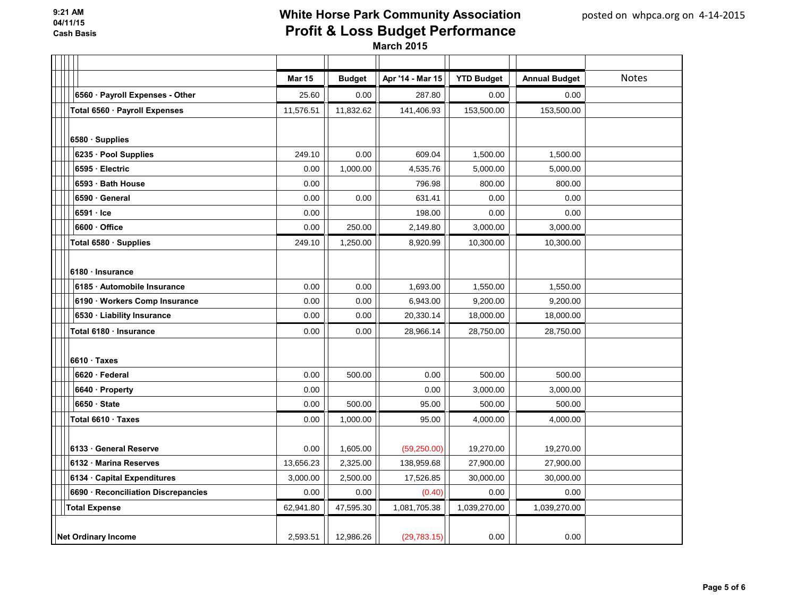|                                     | <b>Mar 15</b> | <b>Budget</b> | Apr '14 - Mar 15 | <b>YTD Budget</b> | <b>Annual Budget</b> | <b>Notes</b> |
|-------------------------------------|---------------|---------------|------------------|-------------------|----------------------|--------------|
| 6560 · Payroll Expenses - Other     | 25.60         | 0.00          | 287.80           | 0.00              | 0.00                 |              |
| Total 6560 · Payroll Expenses       | 11,576.51     | 11,832.62     | 141,406.93       | 153,500.00        | 153,500.00           |              |
|                                     |               |               |                  |                   |                      |              |
| 6580 Supplies                       |               |               |                  |                   |                      |              |
| 6235 · Pool Supplies                | 249.10        | 0.00          | 609.04           | 1,500.00          | 1,500.00             |              |
| 6595 · Electric                     | 0.00          | 1,000.00      | 4,535.76         | 5,000.00          | 5,000.00             |              |
| 6593 · Bath House                   | 0.00          |               | 796.98           | 800.00            | 800.00               |              |
| 6590 · General                      | 0.00          | 0.00          | 631.41           | 0.00              | 0.00                 |              |
| $6591 \cdot$ Ice                    | 0.00          |               | 198.00           | 0.00              | 0.00                 |              |
| 6600 Office                         | 0.00          | 250.00        | 2,149.80         | 3,000.00          | 3,000.00             |              |
| Total 6580 · Supplies               | 249.10        | 1,250.00      | 8,920.99         | 10,300.00         | 10,300.00            |              |
|                                     |               |               |                  |                   |                      |              |
| 6180 · Insurance                    |               |               |                  |                   |                      |              |
| 6185 · Automobile Insurance         | 0.00          | 0.00          | 1,693.00         | 1,550.00          | 1,550.00             |              |
| 6190 · Workers Comp Insurance       | 0.00          | 0.00          | 6,943.00         | 9,200.00          | 9,200.00             |              |
| 6530 · Liability Insurance          | 0.00          | 0.00          | 20,330.14        | 18,000.00         | 18,000.00            |              |
| Total 6180 · Insurance              | 0.00          | 0.00          | 28,966.14        | 28,750.00         | 28,750.00            |              |
|                                     |               |               |                  |                   |                      |              |
| $6610 \cdot \text{Taxes}$           |               |               |                  |                   |                      |              |
| 6620 · Federal                      | 0.00          | 500.00        | 0.00             | 500.00            | 500.00               |              |
| 6640 · Property                     | 0.00          |               | 0.00             | 3,000.00          | 3,000.00             |              |
| 6650 State                          | 0.00          | 500.00        | 95.00            | 500.00            | 500.00               |              |
| Total 6610 · Taxes                  | 0.00          | 1,000.00      | 95.00            | 4,000.00          | 4,000.00             |              |
|                                     |               |               |                  |                   |                      |              |
| 6133 General Reserve                | 0.00          | 1,605.00      | (59, 250.00)     | 19,270.00         | 19,270.00            |              |
| 6132 Marina Reserves                | 13,656.23     | 2,325.00      | 138,959.68       | 27,900.00         | 27,900.00            |              |
| 6134 · Capital Expenditures         | 3,000.00      | 2,500.00      | 17,526.85        | 30,000.00         | 30,000.00            |              |
| 6690 · Reconciliation Discrepancies | 0.00          | 0.00          | (0.40)           | 0.00              | 0.00                 |              |
| <b>Total Expense</b>                | 62,941.80     | 47,595.30     | 1,081,705.38     | 1,039,270.00      | 1,039,270.00         |              |
|                                     |               |               |                  |                   |                      |              |
| <b>Net Ordinary Income</b>          | 2,593.51      | 12,986.26     | (29, 783.15)     | 0.00              | 0.00                 |              |